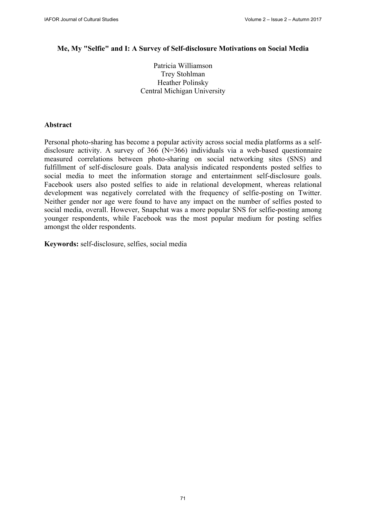#### **Me, My "Selfie" and I: A Survey of Self-disclosure Motivations on Social Media**

Patricia Williamson Trey Stohlman Heather Polinsky Central Michigan University

### **Abstract**

Personal photo-sharing has become a popular activity across social media platforms as a selfdisclosure activity. A survey of 366 (N=366) individuals via a web-based questionnaire measured correlations between photo-sharing on social networking sites (SNS) and fulfillment of self-disclosure goals. Data analysis indicated respondents posted selfies to social media to meet the information storage and entertainment self-disclosure goals. Facebook users also posted selfies to aide in relational development, whereas relational development was negatively correlated with the frequency of selfie-posting on Twitter. Neither gender nor age were found to have any impact on the number of selfies posted to social media, overall. However, Snapchat was a more popular SNS for selfie-posting among younger respondents, while Facebook was the most popular medium for posting selfies amongst the older respondents.

**Keywords:** self-disclosure, selfies, social media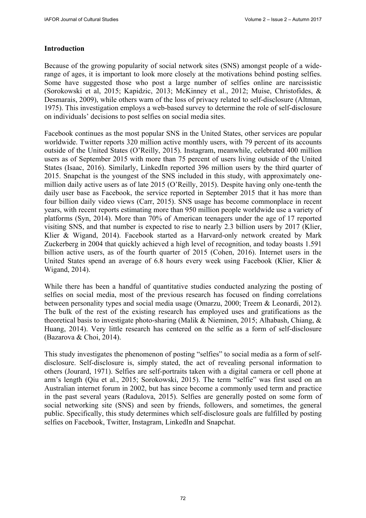## **Introduction**

Because of the growing popularity of social network sites (SNS) amongst people of a widerange of ages, it is important to look more closely at the motivations behind posting selfies. Some have suggested those who post a large number of selfies online are narcissistic (Sorokowski et al, 2015; Kapidzic, 2013; McKinney et al., 2012; Muise, Christofides, & Desmarais, 2009), while others warn of the loss of privacy related to self-disclosure (Altman, 1975). This investigation employs a web-based survey to determine the role of self-disclosure on individuals' decisions to post selfies on social media sites.

Facebook continues as the most popular SNS in the United States, other services are popular worldwide. Twitter reports 320 million active monthly users, with 79 percent of its accounts outside of the United States (O'Reilly, 2015). Instagram, meanwhile, celebrated 400 million users as of September 2015 with more than 75 percent of users living outside of the United States (Isaac, 2016). Similarly, LinkedIn reported 396 million users by the third quarter of 2015. Snapchat is the youngest of the SNS included in this study, with approximately onemillion daily active users as of late 2015 (O'Reilly, 2015). Despite having only one-tenth the daily user base as Facebook, the service reported in September 2015 that it has more than four billion daily video views (Carr, 2015). SNS usage has become commonplace in recent years, with recent reports estimating more than 950 million people worldwide use a variety of platforms (Syn, 2014). More than 70% of American teenagers under the age of 17 reported visiting SNS, and that number is expected to rise to nearly 2.3 billion users by 2017 (Klier, Klier & Wigand, 2014). Facebook started as a Harvard-only network created by Mark Zuckerberg in 2004 that quickly achieved a high level of recognition, and today boasts 1.591 billion active users, as of the fourth quarter of 2015 (Cohen, 2016). Internet users in the United States spend an average of 6.8 hours every week using Facebook (Klier, Klier & Wigand, 2014).

While there has been a handful of quantitative studies conducted analyzing the posting of selfies on social media, most of the previous research has focused on finding correlations between personality types and social media usage (Omarzu, 2000; Treem & Leonardi, 2012). The bulk of the rest of the existing research has employed uses and gratifications as the theoretical basis to investigate photo-sharing (Malik & Nieminen, 2015; Alhabash, Chiang, & Huang, 2014). Very little research has centered on the selfie as a form of self-disclosure (Bazarova & Choi, 2014).

This study investigates the phenomenon of posting "selfies" to social media as a form of selfdisclosure. Self-disclosure is, simply stated, the act of revealing personal information to others (Jourard, 1971). Selfies are self-portraits taken with a digital camera or cell phone at arm's length (Qiu et al., 2015; Sorokowski, 2015). The term "selfie" was first used on an Australian internet forum in 2002, but has since become a commonly used term and practice in the past several years (Radulova, 2015). Selfies are generally posted on some form of social networking site (SNS) and seen by friends, followers, and sometimes, the general public. Specifically, this study determines which self-disclosure goals are fulfilled by posting selfies on Facebook, Twitter, Instagram, LinkedIn and Snapchat.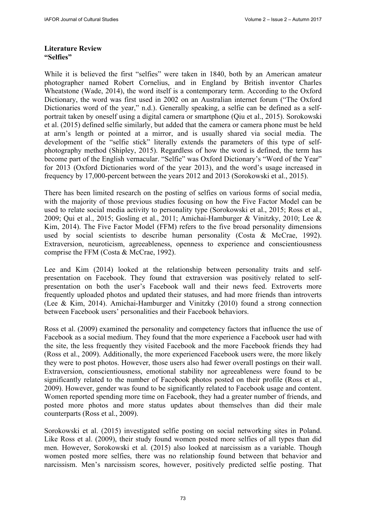### **Literature Review "Selfies"**

While it is believed the first "selfies" were taken in 1840, both by an American amateur photographer named Robert Cornelius, and in England by British inventor Charles Wheatstone (Wade, 2014), the word itself is a contemporary term. According to the Oxford Dictionary, the word was first used in 2002 on an Australian internet forum ("The Oxford Dictionaries word of the year," n.d.). Generally speaking, a selfie can be defined as a selfportrait taken by oneself using a digital camera or smartphone (Qiu et al., 2015). Sorokowski et al. (2015) defined selfie similarly, but added that the camera or camera phone must be held at arm's length or pointed at a mirror, and is usually shared via social media. The development of the "selfie stick" literally extends the parameters of this type of selfphotography method (Shipley, 2015). Regardless of how the word is defined, the term has become part of the English vernacular. "Selfie" was Oxford Dictionary's "Word of the Year" for 2013 (Oxford Dictionaries word of the year 2013), and the word's usage increased in frequency by 17,000-percent between the years 2012 and 2013 (Sorokowski et al., 2015).

There has been limited research on the posting of selfies on various forms of social media, with the majority of those previous studies focusing on how the Five Factor Model can be used to relate social media activity to personality type (Sorokowski et al., 2015; Ross et al., 2009; Qui et al., 2015; Gosling et al., 2011; Amichai-Hamburger & Vinitzky, 2010; Lee & Kim, 2014). The Five Factor Model (FFM) refers to the five broad personality dimensions used by social scientists to describe human personality (Costa & McCrae, 1992). Extraversion, neuroticism, agreeableness, openness to experience and conscientiousness comprise the FFM (Costa & McCrae, 1992).

Lee and Kim (2014) looked at the relationship between personality traits and selfpresentation on Facebook. They found that extraversion was positively related to selfpresentation on both the user's Facebook wall and their news feed. Extroverts more frequently uploaded photos and updated their statuses, and had more friends than introverts (Lee & Kim, 2014). Amichai-Hamburger and Vinitzky (2010) found a strong connection between Facebook users' personalities and their Facebook behaviors.

Ross et al. (2009) examined the personality and competency factors that influence the use of Facebook as a social medium. They found that the more experience a Facebook user had with the site, the less frequently they visited Facebook and the more Facebook friends they had (Ross et al., 2009). Additionally, the more experienced Facebook users were, the more likely they were to post photos. However, those users also had fewer overall postings on their wall. Extraversion, conscientiousness, emotional stability nor agreeableness were found to be significantly related to the number of Facebook photos posted on their profile (Ross et al., 2009). However, gender was found to be significantly related to Facebook usage and content. Women reported spending more time on Facebook, they had a greater number of friends, and posted more photos and more status updates about themselves than did their male counterparts (Ross et al., 2009).

Sorokowski et al. (2015) investigated selfie posting on social networking sites in Poland. Like Ross et al. (2009), their study found women posted more selfies of all types than did men. However, Sorokowski et al. (2015) also looked at narcissism as a variable. Though women posted more selfies, there was no relationship found between that behavior and narcissism. Men's narcissism scores, however, positively predicted selfie posting. That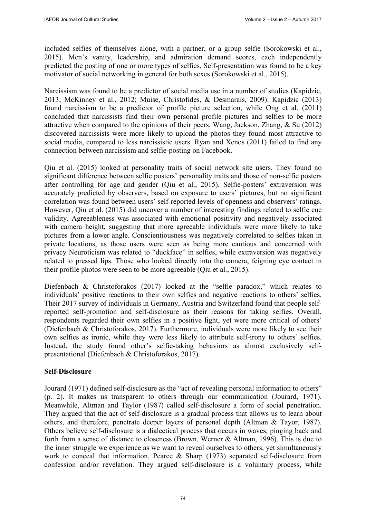included selfies of themselves alone, with a partner, or a group selfie (Sorokowski et al., 2015). Men's vanity, leadership, and admiration demand scores, each independently predicted the posting of one or more types of selfies. Self-presentation was found to be a key motivator of social networking in general for both sexes (Sorokowski et al., 2015).

Narcissism was found to be a predictor of social media use in a number of studies (Kapidzic, 2013; McKinney et al., 2012; Muise, Christofides, & Desmarais, 2009). Kapidzic (2013) found narcissism to be a predictor of profile picture selection, while Ong et al. (2011) concluded that narcissists find their own personal profile pictures and selfies to be more attractive when compared to the opinions of their peers. Wang, Jackson, Zhang, & Su (2012) discovered narcissists were more likely to upload the photos they found most attractive to social media, compared to less narcissistic users. Ryan and Xenos (2011) failed to find any connection between narcissism and selfie-posting on Facebook.

Qiu et al. (2015) looked at personality traits of social network site users. They found no significant difference between selfie posters' personality traits and those of non-selfie posters after controlling for age and gender (Qiu et al., 2015). Selfie-posters' extraversion was accurately predicted by observers, based on exposure to users' pictures, but no significant correlation was found between users' self-reported levels of openness and observers' ratings. However, Qiu et al. (2015) did uncover a number of interesting findings related to selfie cue validity. Agreeableness was associated with emotional positivity and negatively associated with camera height, suggesting that more agreeable individuals were more likely to take pictures from a lower angle. Conscientiousness was negatively correlated to selfies taken in private locations, as those users were seen as being more cautious and concerned with privacy Neuroticism was related to "duckface" in selfies, while extraversion was negatively related to pressed lips. Those who looked directly into the camera, feigning eye contact in their profile photos were seen to be more agreeable (Qiu et al., 2015).

Diefenbach & Christoforakos (2017) looked at the "selfie paradox," which relates to individuals' positive reactions to their own selfies and negative reactions to others' selfies. Their 2017 survey of individuals in Germany, Austria and Switzerland found that people selfreported self-promotion and self-disclosure as their reasons for taking selfies. Overall, respondents regarded their own selfies in a positive light, yet were more critical of others' (Diefenbach & Christoforakos, 2017). Furthermore, individuals were more likely to see their own selfies as ironic, while they were less likely to attribute self-irony to others' selfies. Instead, the study found other's selfie-taking behaviors as almost exclusively selfpresentational (Diefenbach & Christoforakos, 2017).

### **Self-Disclosure**

Jourard (1971) defined self-disclosure as the "act of revealing personal information to others" (p. 2). It makes us transparent to others through our communication (Jourard, 1971). Meanwhile, Altman and Taylor (1987) called self-disclosure a form of social penetration. They argued that the act of self-disclosure is a gradual process that allows us to learn about others, and therefore, penetrate deeper layers of personal depth (Altman & Tayor, 1987). Others believe self-disclosure is a dialectical process that occurs in waves, pinging back and forth from a sense of distance to closeness (Brown, Werner & Altman, 1996). This is due to the inner struggle we experience as we want to reveal ourselves to others, yet simultaneously work to conceal that information. Pearce & Sharp (1973) separated self-disclosure from confession and/or revelation. They argued self-disclosure is a voluntary process, while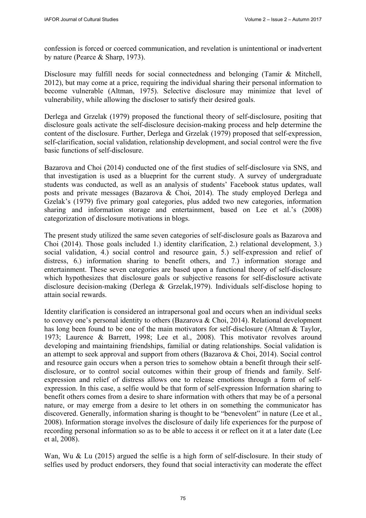confession is forced or coerced communication, and revelation is unintentional or inadvertent by nature (Pearce & Sharp, 1973).

Disclosure may fulfill needs for social connectedness and belonging (Tamir & Mitchell, 2012), but may come at a price, requiring the individual sharing their personal information to become vulnerable (Altman, 1975). Selective disclosure may minimize that level of vulnerability, while allowing the discloser to satisfy their desired goals.

Derlega and Grzelak (1979) proposed the functional theory of self-disclosure, positing that disclosure goals activate the self-disclosure decision-making process and help determine the content of the disclosure. Further, Derlega and Grzelak (1979) proposed that self-expression, self-clarification, social validation, relationship development, and social control were the five basic functions of self-disclosure.

Bazarova and Choi (2014) conducted one of the first studies of self-disclosure via SNS, and that investigation is used as a blueprint for the current study. A survey of undergraduate students was conducted, as well as an analysis of students' Facebook status updates, wall posts and private messages (Bazarova & Choi, 2014). The study employed Derlega and Gzelak's (1979) five primary goal categories, plus added two new categories, information sharing and information storage and entertainment, based on Lee et al.'s (2008) categorization of disclosure motivations in blogs.

The present study utilized the same seven categories of self-disclosure goals as Bazarova and Choi (2014). Those goals included 1.) identity clarification, 2.) relational development, 3.) social validation, 4.) social control and resource gain, 5.) self-expression and relief of distress, 6.) information sharing to benefit others, and 7.) information storage and entertainment. These seven categories are based upon a functional theory of self-disclosure which hypothesizes that disclosure goals or subjective reasons for self-disclosure activate disclosure decision-making (Derlega & Grzelak,1979). Individuals self-disclose hoping to attain social rewards.

Identity clarification is considered an intrapersonal goal and occurs when an individual seeks to convey one's personal identity to others (Bazarova & Choi, 2014). Relational development has long been found to be one of the main motivators for self-disclosure (Altman & Taylor, 1973; Laurence & Barrett, 1998; Lee et al., 2008). This motivator revolves around developing and maintaining friendships, familial or dating relationships. Social validation is an attempt to seek approval and support from others (Bazarova & Choi, 2014). Social control and resource gain occurs when a person tries to somehow obtain a benefit through their selfdisclosure, or to control social outcomes within their group of friends and family. Selfexpression and relief of distress allows one to release emotions through a form of selfexpression. In this case, a selfie would be that form of self-expression Information sharing to benefit others comes from a desire to share information with others that may be of a personal nature, or may emerge from a desire to let others in on something the communicator has discovered. Generally, information sharing is thought to be "benevolent" in nature (Lee et al., 2008). Information storage involves the disclosure of daily life experiences for the purpose of recording personal information so as to be able to access it or reflect on it at a later date (Lee et al, 2008).

Wan, Wu & Lu (2015) argued the selfie is a high form of self-disclosure. In their study of selfies used by product endorsers, they found that social interactivity can moderate the effect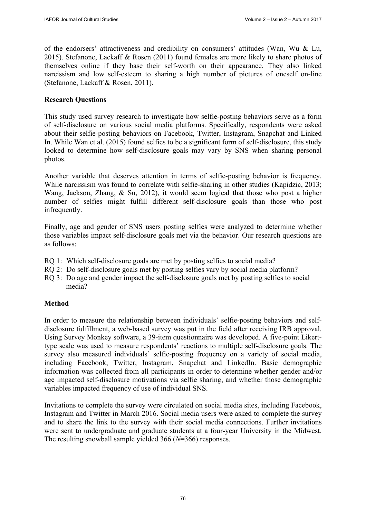of the endorsers' attractiveness and credibility on consumers' attitudes (Wan, Wu & Lu, 2015). Stefanone, Lackaff & Rosen (2011) found females are more likely to share photos of themselves online if they base their self-worth on their appearance. They also linked narcissism and low self-esteem to sharing a high number of pictures of oneself on-line (Stefanone, Lackaff & Rosen, 2011).

## **Research Questions**

This study used survey research to investigate how selfie-posting behaviors serve as a form of self-disclosure on various social media platforms. Specifically, respondents were asked about their selfie-posting behaviors on Facebook, Twitter, Instagram, Snapchat and Linked In. While Wan et al. (2015) found selfies to be a significant form of self-disclosure, this study looked to determine how self-disclosure goals may vary by SNS when sharing personal photos.

Another variable that deserves attention in terms of selfie-posting behavior is frequency. While narcissism was found to correlate with selfie-sharing in other studies (Kapidzic, 2013; Wang, Jackson, Zhang, & Su, 2012), it would seem logical that those who post a higher number of selfies might fulfill different self-disclosure goals than those who post infrequently.

Finally, age and gender of SNS users posting selfies were analyzed to determine whether those variables impact self-disclosure goals met via the behavior. Our research questions are as follows:

- RQ 1: Which self-disclosure goals are met by posting selfies to social media?
- RQ 2: Do self-disclosure goals met by posting selfies vary by social media platform?
- RQ 3: Do age and gender impact the self-disclosure goals met by posting selfies to social media?

## **Method**

In order to measure the relationship between individuals' selfie-posting behaviors and selfdisclosure fulfillment, a web-based survey was put in the field after receiving IRB approval. Using Survey Monkey software, a 39-item questionnaire was developed. A five-point Likerttype scale was used to measure respondents' reactions to multiple self-disclosure goals. The survey also measured individuals' selfie-posting frequency on a variety of social media, including Facebook, Twitter, Instagram, Snapchat and LinkedIn. Basic demographic information was collected from all participants in order to determine whether gender and/or age impacted self-disclosure motivations via selfie sharing, and whether those demographic variables impacted frequency of use of individual SNS.

Invitations to complete the survey were circulated on social media sites, including Facebook, Instagram and Twitter in March 2016. Social media users were asked to complete the survey and to share the link to the survey with their social media connections. Further invitations were sent to undergraduate and graduate students at a four-year University in the Midwest. The resulting snowball sample yielded 366 (*N*=366) responses.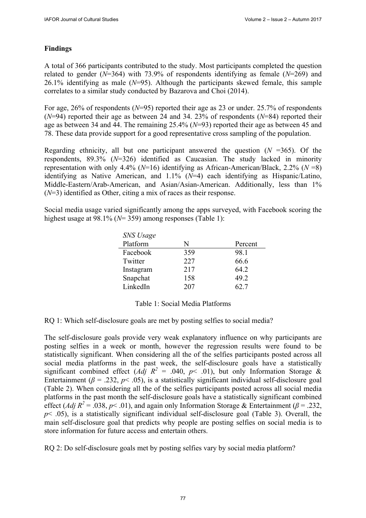# **Findings**

A total of 366 participants contributed to the study. Most participants completed the question related to gender (*N*=364) with 73.9% of respondents identifying as female (*N*=269) and 26.1% identifying as male (*N*=95). Although the participants skewed female, this sample correlates to a similar study conducted by Bazarova and Choi (2014).

For age, 26% of respondents (*N*=95) reported their age as 23 or under. 25.7% of respondents (*N*=94) reported their age as between 24 and 34. 23% of respondents (*N*=84) reported their age as between 34 and 44. The remaining 25.4% (*N*=93) reported their age as between 45 and 78. These data provide support for a good representative cross sampling of the population.

Regarding ethnicity, all but one participant answered the question  $(N = 365)$ . Of the respondents, 89.3% (*N*=326) identified as Caucasian. The study lacked in minority representation with only 4.4% (*N*=16) identifying as African-American/Black, 2.2% (*N* =8) identifying as Native American, and 1.1% (*N*=4) each identifying as Hispanic/Latino, Middle-Eastern/Arab-American, and Asian/Asian-American. Additionally, less than 1% (*N*=3) identified as Other, citing a mix of races as their response.

Social media usage varied significantly among the apps surveyed, with Facebook scoring the highest usage at 98.1% (*N*= 359) among responses (Table 1):

| N   | Percent |
|-----|---------|
| 359 | 98.1    |
| 227 | 66.6    |
| 217 | 64.2    |
| 158 | 49.2    |
| 207 | 627     |
|     |         |

## Table 1: Social Media Platforms

## RQ 1: Which self-disclosure goals are met by posting selfies to social media?

The self-disclosure goals provide very weak explanatory influence on why participants are posting selfies in a week or month, however the regression results were found to be statistically significant. When considering all the of the selfies participants posted across all social media platforms in the past week, the self-disclosure goals have a statistically significant combined effect (*Adj R<sup>2</sup>* = .040, *p*< .01), but only Information Storage & Entertainment ( $\beta$  = .232,  $p$  < .05), is a statistically significant individual self-disclosure goal (Table 2). When considering all the of the selfies participants posted across all social media platforms in the past month the self-disclosure goals have a statistically significant combined effect (*Adj R*<sup>2</sup> = .038, *p* < .01), and again only Information Storage & Entertainment ( $\beta$  = .232,  $p$ < .05), is a statistically significant individual self-disclosure goal (Table 3). Overall, the main self-disclosure goal that predicts why people are posting selfies on social media is to store information for future access and entertain others.

RQ 2: Do self-disclosure goals met by posting selfies vary by social media platform?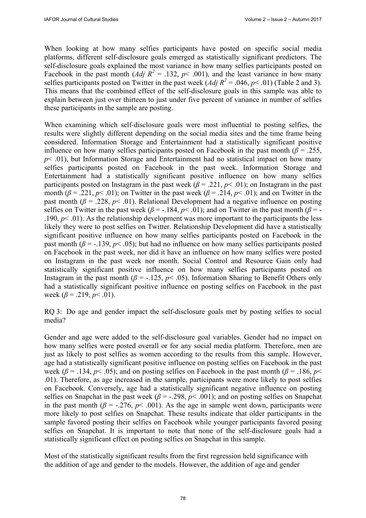When looking at how many selfies participants have posted on specific social media platforms, different self-disclosure goals emerged as statistically significant predictors. The self-disclosure goals explained the most variance in how many selfies participants posted on Facebook in the past month (*Adj R<sup>2</sup>* = .132,  $p$ < .001), and the least variance in how many selfies participants posted on Twitter in the past week  $(Adj R^2 = .046, p < .01)$  (Table 2 and 3). This means that the combined effect of the self-disclosure goals in this sample was able to explain between just over thirteen to just under five percent of variance in number of selfies these participants in the sample are posting.

When examining which self-disclosure goals were most influential to posting selfies, the results were slightly different depending on the social media sites and the time frame being considered. Information Storage and Entertainment had a statistically significant positive influence on how many selfies participants posted on Facebook in the past month  $(\beta = .255, )$  $p$  < .01), but Information Storage and Entertainment had no statistical impact on how many selfies participants posted on Facebook in the past week. Information Storage and Entertainment had a statistically significant positive influence on how many selfies participants posted on Instagram in the past week ( $\beta$  = .221,  $p$  < .01); on Instagram in the past month ( $\beta$  = .221,  $p$ < .01); on Twitter in the past week ( $\beta$  = .214,  $p$ < .01); and on Twitter in the past month ( $\beta$  = .228,  $p$ < .01). Relational Development had a negative influence on posting selfies on Twitter in the past week ( $\beta$  = -.184,  $p$  < .01); and on Twitter in the past month ( $\beta$  = -.190,  $p$ < .01). As the relationship development was more important to the participants the less likely they were to post selfies on Twitter. Relationship Development did have a statistically significant positive influence on how many selfies participants posted on Facebook in the past month ( $\beta$  = -.139,  $p$ < .05); but had no influence on how many selfies participants posted on Facebook in the past week, nor did it have an influence on how many selfies were posted on Instagram in the past week nor month. Social Control and Resource Gain only had statistically significant positive influence on how many selfies participants posted on Instagram in the past month ( $\beta$  = -.125,  $p$  < .05). Information Sharing to Benefit Others only had a statistically significant positive influence on posting selfies on Facebook in the past week  $(\beta = .219, p < .01)$ .

RQ 3: Do age and gender impact the self-disclosure goals met by posting selfies to social media?

Gender and age were added to the self-disclosure goal variables. Gender had no impact on how many selfies were posted overall or for any social media platform. Therefore, men are just as likely to post selfies as women according to the results from this sample. However, age had a statistically significant positive influence on posting selfies on Facebook in the past week ( $\beta$  = .134,  $p$ < .05); and on posting selfies on Facebook in the past month ( $\beta$  = .186,  $p$  < .01). Therefore, as age increased in the sample, participants were more likely to post selfies on Facebook. Conversely, age had a statistically significant negative influence on posting selfies on Snapchat in the past week ( $\beta$  = -.298,  $p$ < .001); and on posting selfies on Snapchat in the past month ( $\beta$  = -.276,  $p$ < .001). As the age in sample went down, participants were more likely to post selfies on Snapchat. These results indicate that older participants in the sample favored posting their selfies on Facebook while younger participants favored posing selfies on Snapchat. It is important to note that none of the self-disclosure goals had a statistically significant effect on posting selfies on Snapchat in this sample.

Most of the statistically significant results from the first regression held significance with the addition of age and gender to the models. However, the addition of age and gender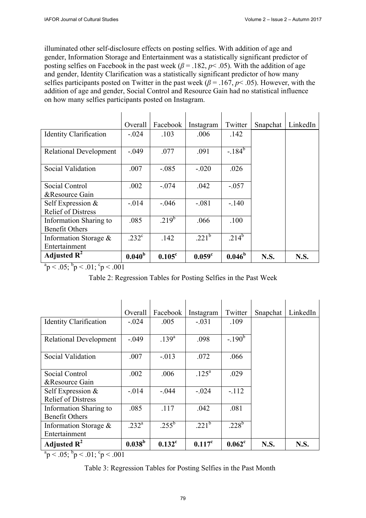illuminated other self-disclosure effects on posting selfies. With addition of age and gender, Information Storage and Entertainment was a statistically significant predictor of posting selfies on Facebook in the past week ( $\beta$  = .182,  $p$  < .05). With the addition of age and gender, Identity Clarification was a statistically significant predictor of how many selfies participants posted on Twitter in the past week ( $\beta$  = .167,  $p$  < .05). However, with the addition of age and gender, Social Control and Resource Gain had no statistical influence on how many selfies participants posted on Instagram.

|                                                 | Overall            | Facebook        | Instagram          | Twitter               | Snapchat    | LinkedIn    |
|-------------------------------------------------|--------------------|-----------------|--------------------|-----------------------|-------------|-------------|
| <b>Identity Clarification</b>                   | $-.024$            | .103            | .006               | .142                  |             |             |
| <b>Relational Development</b>                   | $-.049$            | .077            | .091               | $-184^{b}$            |             |             |
| Social Validation                               | .007               | $-.085$         | $-.020$            | .026                  |             |             |
| Social Control                                  | .002               | $-.074$         | .042               | $-.057$               |             |             |
| &Resource Gain                                  |                    |                 |                    |                       |             |             |
| Self Expression &<br><b>Relief of Distress</b>  | $-.014$            | $-.046$         | $-.081$            | $-.140$               |             |             |
| Information Sharing to<br><b>Benefit Others</b> | .085               | $219^b$         | .066               | .100                  |             |             |
| Information Storage $\&$                        | .232 <sup>c</sup>  | .142            | $221^b$            | $.21\overline{4^{b}}$ |             |             |
| Entertainment                                   |                    |                 |                    |                       |             |             |
| Adjusted $\mathbf{R}^2$                         | 0.040 <sup>b</sup> | $0.105^{\circ}$ | 0.059 <sup>c</sup> | $0.046^b$             | <b>N.S.</b> | <b>N.S.</b> |

 $a_p < .05$ ;  $b_p < .01$ ;  $c_p < .001$ 

Table 2: Regression Tables for Posting Selfies in the Past Week

|                                                 | Overall         | Facebook             | Instagram  | Twitter        | Snapchat    | LinkedIn    |
|-------------------------------------------------|-----------------|----------------------|------------|----------------|-------------|-------------|
| <b>Identity Clarification</b>                   | $-.024$         | .005                 | $-.031$    | .109           |             |             |
| <b>Relational Development</b>                   | $-.049$         | $.139^{a}$           | .098       | $-190^b$       |             |             |
| Social Validation                               | .007            | $-.013$              | .072       | .066           |             |             |
| Social Control<br>&Resource Gain                | .002            | .006                 | $.125^{a}$ | .029           |             |             |
| Self Expression &<br><b>Relief of Distress</b>  | $-.014$         | $-.044$              | $-.024$    | $-112$         |             |             |
| Information Sharing to<br><b>Benefit Others</b> | .085            | .117                 | .042       | .081           |             |             |
| Information Storage $\&$<br>Entertainment       | $232^a$         | $.255^b$             | $221^b$    | $.228^{\rm b}$ |             |             |
| Adjusted $\mathbf{R}^2$                         | $0.038^{\rm b}$ | $0.132$ <sup>c</sup> | $0.117^c$  | $0.062^c$      | <b>N.S.</b> | <b>N.S.</b> |

 $a_p < .05$ ;  $b_p < .01$ ;  $c_p < .001$ 

Table 3: Regression Tables for Posting Selfies in the Past Month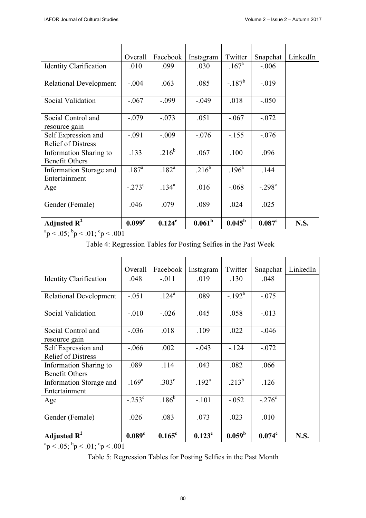|                                                        | Overall            | Facebook           | Instagram          | Twitter         | Snapchat             | LinkedIn |
|--------------------------------------------------------|--------------------|--------------------|--------------------|-----------------|----------------------|----------|
| <b>Identity Clarification</b>                          | .010               | .099               | .030               | $.167^{\rm a}$  | $-.006$              |          |
| <b>Relational Development</b>                          | $-.004$            | .063               | .085               | $-.187^b$       | $-.019$              |          |
| Social Validation                                      | $-.067$            | $-.099$            | $-.049$            | .018            | $-.050$              |          |
| Social Control and<br>resource gain                    | $-.079$            | $-.073$            | .051               | $-.067$         | $-.072$              |          |
| Self Expression and<br><b>Relief of Distress</b>       | $-.091$            | $-.009$            | $-.076$            | $-.155$         | $-.076$              |          |
| <b>Information Sharing to</b><br><b>Benefit Others</b> | .133               | $.216^{b}$         | .067               | .100            | .096                 |          |
| Information Storage and<br>Entertainment               | $.187^{\rm a}$     | $.182^{a}$         | $.216^b$           | $.196^{\rm a}$  | .144                 |          |
| Age                                                    | $-.273^{\circ}$    | $.134^{a}$         | .016               | $-.068$         | $-.298^{\circ}$      |          |
| Gender (Female)                                        | .046               | .079               | .089               | .024            | .025                 |          |
| Adjusted $R^2$                                         | 0.099 <sup>c</sup> | 0.124 <sup>c</sup> | 0.061 <sup>b</sup> | $0.045^{\rm b}$ | $0.087$ <sup>c</sup> | N.S.     |

 $a_p < .05$ ;  $b_p < .01$ ;  $c_p < .001$ 

Table 4: Regression Tables for Posting Selfies in the Past Week

|                                                  | Overall            | Facebook          | Instagram      | Twitter         | Snapchat           | LinkedIn    |
|--------------------------------------------------|--------------------|-------------------|----------------|-----------------|--------------------|-------------|
| <b>Identity Clarification</b>                    | .048               | $-.011$           | .019           | .130            | .048               |             |
| <b>Relational Development</b>                    | $-.051$            | $.124^{a}$        | .089           | $-192^b$        | $-.075$            |             |
| Social Validation                                | $-.010$            | $-.026$           | .045           | .058            | $-0.013$           |             |
| Social Control and<br>resource gain              | $-.036$            | .018              | .109           | .022            | $-.046$            |             |
| Self Expression and<br><b>Relief of Distress</b> | $-.066$            | .002              | $-.043$        | $-124$          | $-.072$            |             |
| Information Sharing to<br><b>Benefit Others</b>  | .089               | .114              | .043           | .082            | .066               |             |
| Information Storage and<br>Entertainment         | $.169^{a}$         | .303 <sup>c</sup> | $.192^{\rm a}$ | $.213^{b}$      | .126               |             |
| Age                                              | $-.253^{\circ}$    | $.186^{6}$        | $-.101$        | $-.052$         | $-.276^{\circ}$    |             |
| Gender (Female)                                  | .026               | .083              | .073           | .023            | .010               |             |
| Adjusted $R^2$                                   | 0.089 <sup>c</sup> | $0.165^{\circ}$   | $0.123^c$      | $0.059^{\rm b}$ | 0.074 <sup>c</sup> | <b>N.S.</b> |

 $a_p < .05$ ;  $b_p < .01$ ;  $c_p < .001$ 

Table 5: Regression Tables for Posting Selfies in the Past Month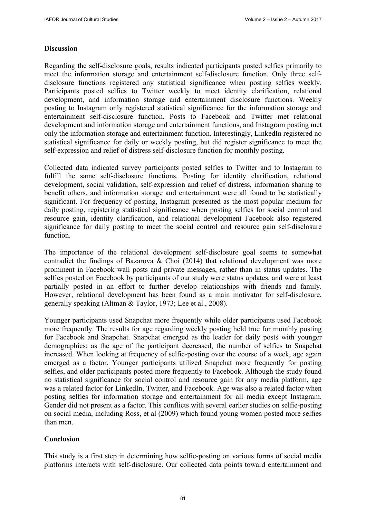## **Discussion**

Regarding the self-disclosure goals, results indicated participants posted selfies primarily to meet the information storage and entertainment self-disclosure function. Only three selfdisclosure functions registered any statistical significance when posting selfies weekly. Participants posted selfies to Twitter weekly to meet identity clarification, relational development, and information storage and entertainment disclosure functions. Weekly posting to Instagram only registered statistical significance for the information storage and entertainment self-disclosure function. Posts to Facebook and Twitter met relational development and information storage and entertainment functions, and Instagram posting met only the information storage and entertainment function. Interestingly, LinkedIn registered no statistical significance for daily or weekly posting, but did register significance to meet the self-expression and relief of distress self-disclosure function for monthly posting.

Collected data indicated survey participants posted selfies to Twitter and to Instagram to fulfill the same self-disclosure functions. Posting for identity clarification, relational development, social validation, self-expression and relief of distress, information sharing to benefit others, and information storage and entertainment were all found to be statistically significant. For frequency of posting, Instagram presented as the most popular medium for daily posting, registering statistical significance when posting selfies for social control and resource gain, identity clarification, and relational development Facebook also registered significance for daily posting to meet the social control and resource gain self-disclosure function.

The importance of the relational development self-disclosure goal seems to somewhat contradict the findings of Bazarova & Choi (2014) that relational development was more prominent in Facebook wall posts and private messages, rather than in status updates. The selfies posted on Facebook by participants of our study were status updates, and were at least partially posted in an effort to further develop relationships with friends and family. However, relational development has been found as a main motivator for self-disclosure, generally speaking (Altman & Taylor, 1973; Lee et al., 2008).

Younger participants used Snapchat more frequently while older participants used Facebook more frequently. The results for age regarding weekly posting held true for monthly posting for Facebook and Snapchat. Snapchat emerged as the leader for daily posts with younger demographics; as the age of the participant decreased, the number of selfies to Snapchat increased. When looking at frequency of selfie-posting over the course of a week, age again emerged as a factor. Younger participants utilized Snapchat more frequently for posting selfies, and older participants posted more frequently to Facebook. Although the study found no statistical significance for social control and resource gain for any media platform, age was a related factor for LinkedIn, Twitter, and Facebook. Age was also a related factor when posting selfies for information storage and entertainment for all media except Instagram. Gender did not present as a factor. This conflicts with several earlier studies on selfie-posting on social media, including Ross, et al (2009) which found young women posted more selfies than men.

## **Conclusion**

This study is a first step in determining how selfie-posting on various forms of social media platforms interacts with self-disclosure. Our collected data points toward entertainment and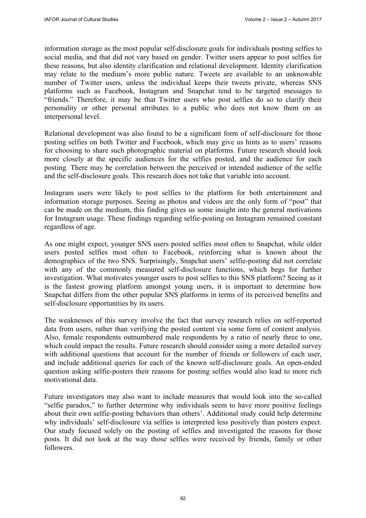information storage as the most popular self-disclosure goals for individuals posting selfies to social media, and that did not vary based on gender. Twitter users appear to post selfies for these reasons, but also identity clarification and relational development. Identity clarification may relate to the medium's more public nature. Tweets are available to an unknowable number of Twitter users, unless the individual keeps their tweets private, whereas SNS platforms such as Facebook, Instagram and Snapchat tend to be targeted messages to "friends." Therefore, it may be that Twitter users who post selfies do so to clarify their personality or other personal attributes to a public who does not know them on an interpersonal level.

Relational development was also found to be a significant form of self-disclosure for those posting selfies on both Twitter and Facebook, which may give us hints as to users' reasons for choosing to share such photographic material on platforms. Future research should look more closely at the specific audiences for the selfies posted, and the audience for each posting. There may be correlation between the perceived or intended audience of the selfie and the self-disclosure goals. This research does not take that variable into account.

Instagram users were likely to post selfies to the platform for both entertainment and information storage purposes. Seeing as photos and videos are the only form of "post" that can be made on the medium, this finding gives us some insight into the general motivations for Instagram usage. These findings regarding selfie-posting on Instagram remained constant regardless of age.

As one might expect, younger SNS users posted selfies most often to Snapchat, while older users posted selfies most often to Facebook, reinforcing what is known about the demographics of the two SNS. Surprisingly, Snapchat users' selfie-posting did not correlate with any of the commonly measured self-disclosure functions, which begs for further investigation. What motivates younger users to post selfies to this SNS platform? Seeing as it is the fastest growing platform amongst young users, it is important to determine how Snapchat differs from the other popular SNS platforms in terms of its perceived benefits and self-disclosure opportunities by its users.

The weaknesses of this survey involve the fact that survey research relies on self-reported data from users, rather than verifying the posted content via some form of content analysis. Also, female respondents outnumbered male respondents by a ratio of nearly three to one, which could impact the results. Future research should consider using a more detailed survey with additional questions that account for the number of friends or followers of each user, and include additional queries for each of the known self-disclosure goals. An open-ended question asking selfie-posters their reasons for posting selfies would also lead to more rich motivational data.

Future investigators may also want to include measures that would look into the so-called "selfie paradox," to further determine why individuals seem to have more positive feelings about their own selfie-posting behaviors than others'. Additional study could help determine why individuals' self-disclosure via selfies is interpreted less positively than posters expect. Our study focused solely on the posting of selfies and investigated the reasons for those posts. It did not look at the way those selfies were received by friends, family or other followers.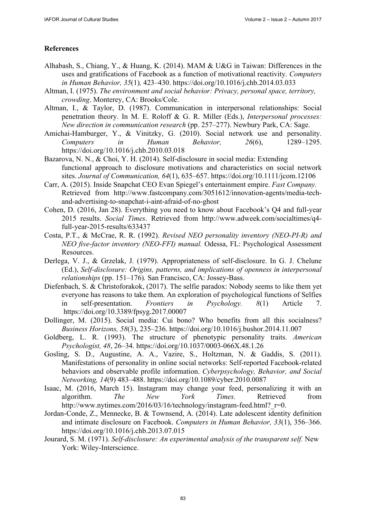# **References**

- Alhabash, S., Chiang, Y., & Huang, K. (2014). MAM & U&G in Taiwan: Differences in the uses and gratifications of Facebook as a function of motivational reactivity. *Computers in Human Behavior, 35*(1)*,* 423–430.<https://doi.org/10.1016/j.chb.2014.03.033>
- Altman, I. (1975). *The environment and social behavior: Privacy, personal space, territory, crowding*. Monterey, CA: Brooks/Cole.
- Altman, I., & Taylor, D. (1987). Communication in interpersonal relationships: Social penetration theory. In M. E. Roloff & G. R. Miller (Eds.), *Interpersonal processes: New direction in communication research* (pp. 257–277). Newbury Park, CA: Sage.
- Amichai-Hamburger, Y., & Vinitzky, G. (2010). Social network use and personality. *Computers in Human Behavior, 26*(6), 1289–1295. <https://doi.org/10.1016/j.chb.2010.03.018>
- Bazarova, N. N., & Choi, Y. H. (2014). Self-disclosure in social media: Extending functional approach to disclosure motivations and characteristics on social network sites. *Journal of Communication, 64*(1), 635–657. <https://doi.org/10.1111/jcom.12106>
- Carr, A. (2015). Inside Snapchat CEO Evan Spiegel's entertainment empire. *Fast Company.*  [Retrieved from http://www.fastcompany.com/3051612/innovation-agents/media-tech](http://www.fastcompany.com/3051612/innovation-agents/media-tech-and-advertising-to-snapchat-i-aint-afraid-of-no-ghost)and-[advertising-to-snapchat-i-aint-afraid-of-no-ghost](http://www.fastcompany.com/3051612/innovation-agents/media-tech-and-advertising-to-snapchat-i-aint-afraid-of-no-ghost)
- Cohen, D. (2016, Jan 28). Everything you need to know about Facebook's Q4 and full-year 2015 results. *Social Times*. Retrieved from [http://www.adweek.com/socialtimes/q4](http://www.adweek.com/socialtimes/q4-full-year-2015-results/633437) [full-year-2015-results/633437](http://www.adweek.com/socialtimes/q4-full-year-2015-results/633437)
- Costa, P.T., & McCrae, R. R. (1992). *Revised NEO personality inventory (NEO-PI-R) and NEO five-factor inventory (NEO-FFI) manual.* Odessa, FL: Psychological Assessment Resources.
- Derlega, V. J., & Grzelak, J. (1979). Appropriateness of self-disclosure. In G. J. Chelune (Ed.), *Self-disclosure: Origins, patterns, and implications of openness in interpersonal relationships* (pp. 151–176)*.* San Francisco, CA: Jossey-Bass.
- Diefenbach, S. & Christoforakok, (2017). The selfie paradox: Nobody seems to like them yet everyone has reasons to take them. An exploration of psychological functions of Selfies in self-presentation. *Frontiers in Psychology. 8*(1) Article 7. <https://doi.org/10.3389/fpsyg.2017.00007>
- Dollinger, M. (2015). Social media: Cui bono? Who benefits from all this socialness? *Business Horizons, 58*(3), 235–236.<https://doi.org/10.1016/j.bushor.2014.11.007>
- Goldberg, L. R. (1993). The structure of phenotypic personality traits. *American Psychologist, 48*, 26–34. <https://doi.org/10.1037/0003-066X.48.1.26>
- Gosling, S. D., Augustine, A. A., Vazire, S., Holtzman, N. & Gaddis, S. (2011). Manifestations of personality in online social networks: Self-reported Facebook-related behaviors and observable profile information. *Cyberpsychology, Behavior, and Social Networking, 14*(9) 483–488.<https://doi.org/10.1089/cyber.2010.0087>
- Isaac, M. (2016, March 15). Instagram may change your feed, personalizing it with an algorithm. *The New York Times.* Retrieved from http://www.nytimes.com/2016/03/16/technology/instagram-feed.html? r=0.
- Jordan-Conde, Z., Mennecke, B. & Townsend, A. (2014). Late adolescent identity definition and intimate disclosure on Facebook. *Computers in Human Behavior, 33*(1), 356–366. <https://doi.org/10.1016/j.chb.2013.07.015>
- Jourard, S. M. (1971). *Self-disclosure: An experimental analysis of the transparent self.* New York: Wiley-Interscience.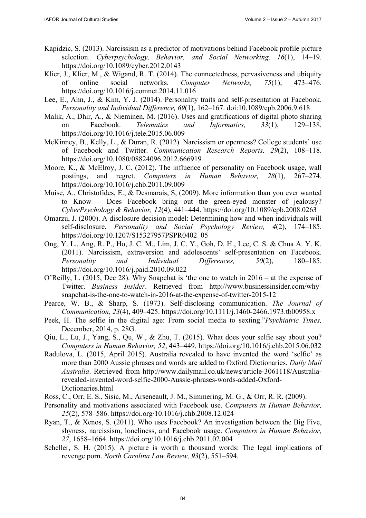- Kapidzic, S. (2013). Narcissism as a predictor of motivations behind Facebook profile picture selection. *Cyberpsychology, Behavior, and Social Networking, 16*(1), 14–19. <https://doi.org/10.1089/cyber.2012.0143>
- Klier, J., Klier, M., & Wigand, R. T. (2014). The connectedness, pervasiveness and ubiquity of online social networks. *Computer Networks, 75*(1), 473–476. <https://doi.org/10.1016/j.comnet.2014.11.016>
- Lee, E., Ahn, J., & Kim, Y. J. (2014). Personality traits and self-presentation at Facebook. *Personality and Individual Difference, 69*(1), 162–167. doi:10.1089/cpb.2006.9.618
- Malik, A., Dhir, A., & Nieminen, M. (2016). Uses and gratifications of digital photo sharing on Facebook. *Telematics and Informatics, 33*(1), 129–138. <https://doi.org/10.1016/j.tele.2015.06.009>
- McKinney, B., Kelly, L., & Duran, R. (2012). Narcissism or openness? College students' use of Facebook and Twitter. *Communication Research Reports, 29*(2), 108–118. <https://doi.org/10.1080/08824096.2012.666919>
- Moore, K., & McElroy, J. C. (2012). The influence of personality on Facebook usage, wall postings, and regret. *Computers in Human Behavior, 28*(1), 267–274. <https://doi.org/10.1016/j.chb.2011.09.009>
- Muise, A., Christofides, E., & Desmarais, S, (2009). More information than you ever wanted to Know – Does Facebook bring out the green-eyed monster of jealousy? *CyberPsychology & Behavior, 12*(4), 441–444.<https://doi.org/10.1089/cpb.2008.0263>
- Omarzu, J. (2000). A disclosure decision model: Determining how and when individuals will self-disclosure. *Personality and Social Psychology Review, 4*(2), 174–185. [https://doi.org/10.1207/S15327957PSPR0402\\_05](https://doi.org/10.1207/S15327957PSPR0402_05)
- Ong, Y. L., Ang, R. P., Ho, J. C. M., Lim, J. C. Y., Goh, D. H., Lee, C. S. & Chua A. Y. K. (2011). Narcissism, extraversion and adolescents' self-presentation on Facebook. *Personality and Individual Differences, 50*(2), 180–185. <https://doi.org/10.1016/j.paid.2010.09.022>
- O'Reilly, L. (2015, Dec 28). Why Snapchat is 'the one to watch in 2016 at the expense of Twitter. *Business Insider*. Retrieved from [http://www.businessinsider.com/wh](http://www.businessinsider.com/why-snapchat-is-the-one-to-watch-in-2016-at-the-expense-of-twitter-2015-12)y[snapchat-is-the-one-to-watch-in-2016-at-the-expense-of-twitter-2015-12](http://www.businessinsider.com/why-snapchat-is-the-one-to-watch-in-2016-at-the-expense-of-twitter-2015-12)
- Pearce, W. B., & Sharp, S. (1973). Self-disclosing communication. *The Journal of Communication, 23*(4), 409–425. <https://doi.org/10.1111/j.1460-2466.1973.tb00958.x>
- Peek, H. The selfie in the digital age: From social media to sexting."*Psychiatric Times,*  December, 2014, p. 28G.
- Qiu, L., Lu, J., Yang, S., Qu, W., & Zhu, T. (2015). What does your selfie say about you? *Computers in Human Behavior, 52*, 443–449. <https://doi.org/10.1016/j.chb.2015.06.032>
- Radulova, L. (2015, April 2015). Australia revealed to have invented the word 'selfie' as more than 2000 Aussie phrases and words are added to Oxford Dictionaries. *Daily Mail Australia*[. Retrieved from http://www.dailymail.co.uk/news/article-3061118/Australia](http://www.dailymail.co.uk/news/article-3061118/Australia-revealed-invented-word-selfie-2000-Aussie-phrases-words-added-Oxford-Dictionaries.html)revealed-[invented-word-selfie-2000-Aussie-phrases-words-added-Oxford-](http://www.dailymail.co.uk/news/article-3061118/Australia-revealed-invented-word-selfie-2000-Aussie-phrases-words-added-Oxford-Dictionaries.html)[Dictionaries.html](http://www.dailymail.co.uk/news/article-3061118/Australia-revealed-invented-word-selfie-2000-Aussie-phrases-words-added-Oxford-Dictionaries.html)
- Ross, C., Orr, E. S., Sisic, M., Arseneault, J. M., Simmering, M. G., & Orr, R. R. (2009).
- Personality and motivations associated with Facebook use. *Computers in Human Behavior, 25*(2), 578–586.<https://doi.org/10.1016/j.chb.2008.12.024>
- Ryan, T., & Xenos, S. (2011). Who uses Facebook? An investigation between the Big Five, shyness, narcissism, loneliness, and Facebook usage. *Computers in Human Behavior, 27*, 1658–1664.<https://doi.org/10.1016/j.chb.2011.02.004>
- Scheller, S. H. (2015). A picture is worth a thousand words: The legal implications of revenge porn. *North Carolina Law Review, 93*(2), 551–594.